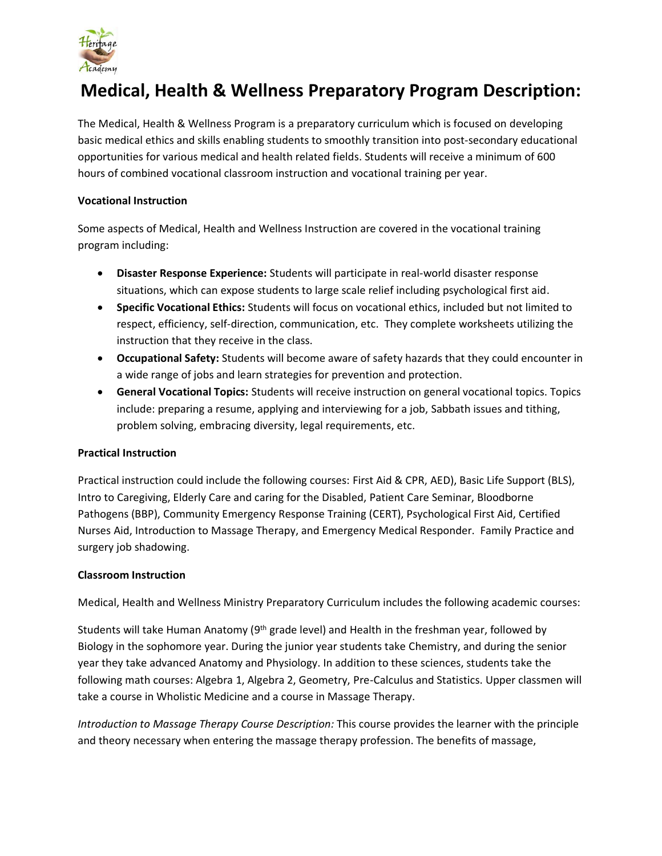

# **Medical, Health & Wellness Preparatory Program Description:**

The Medical, Health & Wellness Program is a preparatory curriculum which is focused on developing basic medical ethics and skills enabling students to smoothly transition into post-secondary educational opportunities for various medical and health related fields. Students will receive a minimum of 600 hours of combined vocational classroom instruction and vocational training per year.

#### **Vocational Instruction**

Some aspects of Medical, Health and Wellness Instruction are covered in the vocational training program including:

- **Disaster Response Experience:** Students will participate in real-world disaster response situations, which can expose students to large scale relief including psychological first aid.
- **Specific Vocational Ethics:** Students will focus on vocational ethics, included but not limited to respect, efficiency, self-direction, communication, etc. They complete worksheets utilizing the instruction that they receive in the class.
- **Occupational Safety:** Students will become aware of safety hazards that they could encounter in a wide range of jobs and learn strategies for prevention and protection.
- **General Vocational Topics:** Students will receive instruction on general vocational topics. Topics include: preparing a resume, applying and interviewing for a job, Sabbath issues and tithing, problem solving, embracing diversity, legal requirements, etc.

### **Practical Instruction**

Practical instruction could include the following courses: First Aid & CPR, AED), Basic Life Support (BLS), Intro to Caregiving, Elderly Care and caring for the Disabled, Patient Care Seminar, Bloodborne Pathogens (BBP), Community Emergency Response Training (CERT), Psychological First Aid, Certified Nurses Aid, Introduction to Massage Therapy, and Emergency Medical Responder. Family Practice and surgery job shadowing.

#### **Classroom Instruction**

Medical, Health and Wellness Ministry Preparatory Curriculum includes the following academic courses:

Students will take Human Anatomy (9<sup>th</sup> grade level) and Health in the freshman year, followed by Biology in the sophomore year. During the junior year students take Chemistry, and during the senior year they take advanced Anatomy and Physiology. In addition to these sciences, students take the following math courses: Algebra 1, Algebra 2, Geometry, Pre-Calculus and Statistics. Upper classmen will take a course in Wholistic Medicine and a course in Massage Therapy.

*Introduction to Massage Therapy Course Description:* This course provides the learner with the principle and theory necessary when entering the massage therapy profession. The benefits of massage,